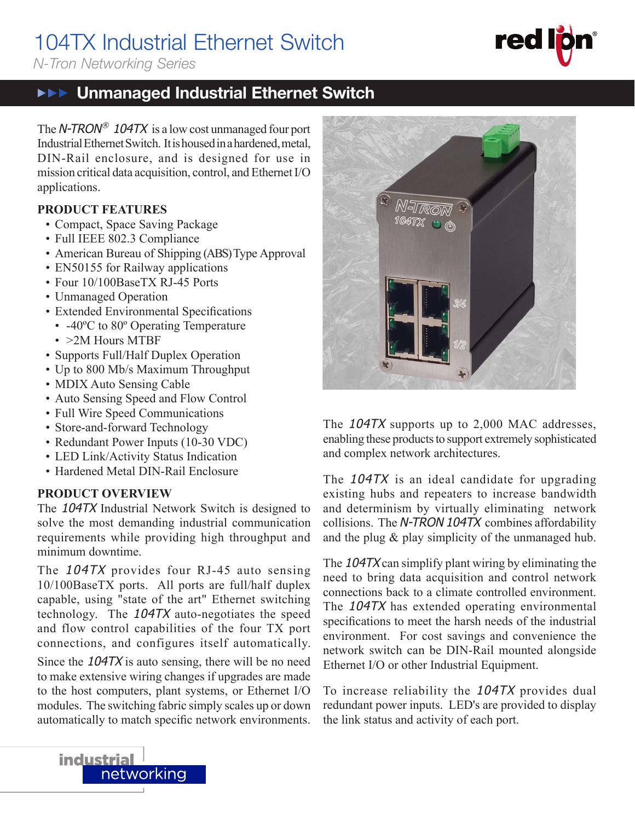# 104TX Industrial Ethernet Switch

*N-Tron Networking Series*

# **THE** Unmanaged Industrial Ethernet Switch

The  $N$ -TRON® 104TX is a low cost unmanaged four port Industrial Ethernet Switch. It is housed in a hardened, metal, DIN-Rail enclosure, and is designed for use in mission critical data acquisition, control, and Ethernet I/O applications.

## **PRODUCT FEATURES**

- Compact, Space Saving Package
- Full IEEE 802.3 Compliance
- American Bureau of Shipping (ABS) Type Approval
- EN50155 for Railway applications
- Four 10/100BaseTX RJ-45 Ports
- Unmanaged Operation
- Extended Environmental Specifications
- -40<sup>o</sup>C to 80<sup>o</sup> Operating Temperature
- > 2M Hours MTBF
- Supports Full/Half Duplex Operation
- Up to 800 Mb/s Maximum Throughput
- MDIX Auto Sensing Cable
- Auto Sensing Speed and Flow Control
- Full Wire Speed Communications
- Store-and-forward Technology
- Redundant Power Inputs (10-30 VDC)
- LED Link/Activity Status Indication
- Hardened Metal DIN-Rail Enclosure

## **PRODUCT OVERVIEW**

**industrial** 

The 104TX Industrial Network Switch is designed to solve the most demanding industrial communication requirements while providing high throughput and minimum downtime.

The 104TX provides four RJ-45 auto sensing 10/100BaseTX ports. All ports are full/half duplex capable, using "state of the art" Ethernet switching technology. The 104TX auto-negotiates the speed and flow control capabilities of the four TX port connections, and configures itself automatically.

Since the 104TX is auto sensing, there will be no need to make extensive wiring changes if upgrades are made to the host computers, plant systems, or Ethernet I/O modules. The switching fabric simply scales up or down automatically to match specific network environments.

networking



The 104TX supports up to 2,000 MAC addresses, enabling these products to support extremely sophisticated and complex network architectures.

The 104TX is an ideal candidate for upgrading existing hubs and repeaters to increase bandwidth and determinism by virtually eliminating network collisions. The N-TRON 104TX combines affordability and the plug & play simplicity of the unmanaged hub.

The 104TX can simplify plant wiring by eliminating the need to bring data acquisition and control network connections back to a climate controlled environment. The 104TX has extended operating environmental specifications to meet the harsh needs of the industrial environment. For cost savings and convenience the network switch can be DIN-Rail mounted alongside Ethernet I/O or other Industrial Equipment.

To increase reliability the 104TX provides dual redundant power inputs. LED's are provided to display the link status and activity of each port.

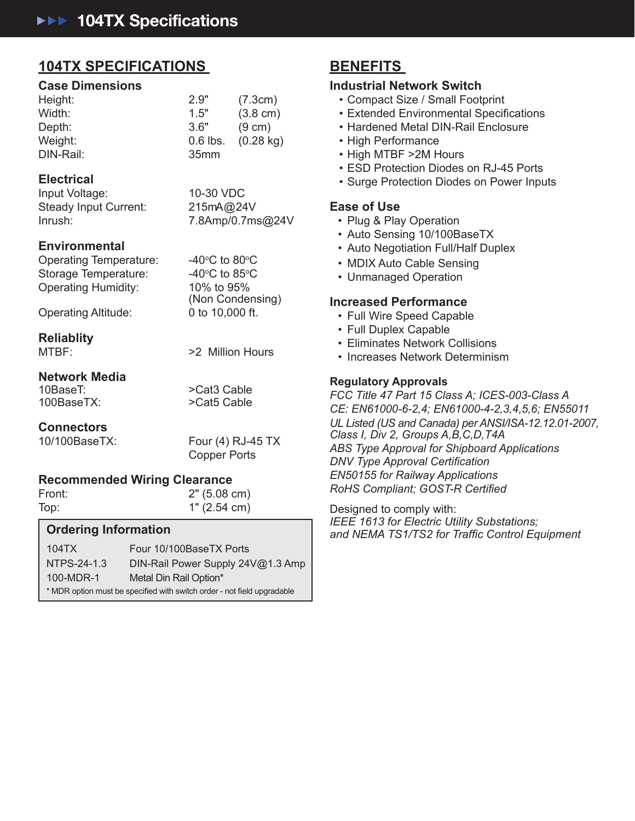# **104TX SPECIFICATIONS**

#### **Case Dimensions**

| Height:   | 2.9"             | (7.3cm)             |
|-----------|------------------|---------------------|
| Width:    | 1.5"             | $(3.8 \text{ cm})$  |
| Depth:    | 3.6"             | $(9 \text{ cm})$    |
| Weight:   | $0.6$ lbs.       | $(0.28 \text{ kg})$ |
| DIN-Rail: | 35 <sub>mm</sub> |                     |

### **Electrical**

Input Voltage: 10-30 VDC Steady Input Current: 215mA@24V Inrush: 7.8Amp/0.7ms@24V

### **Environmental**

Operating Temperature: Storage Temperature: Operating Humidity: 10% to 95%

Operating Altitude: 0 to 10,000 ft.

### **Reliablity**

MTBF: 2 Million Hours

C to 80 $\rm ^{\circ}$ C

C to 85 $\mathrm{^{\circ}C}$ 

(Non Condensing)

# **Network Media**

10BaseT: >Cat3 Cable

>Cat5 Cable

## **Connectors**

10/100BaseTX: Four (4) RJ-45 TX Copper Ports

## **Recommended Wiring Clearance**

Front: 2" (5.08 cm) Top: 1" (2.54 cm)

### **Ordering Information**

104TX Four 10/100BaseTX Ports NTPS-24-1.3 DIN-Rail Power Supply 24V@1.3 Amp 100-MDR-1 Metal Din Rail Option\* \* MDR option must be specified with switch order - not field upgradable

# **BENEFITS**

### **Industrial Network Switch**

- Compact Size / Small Footprint
- Extended Environmental Specifications
- Hardened Metal DIN-Rail Enclosure
- High Performance
- High MTBF >2M Hours
- ESD Protection Diodes on RJ-45 Ports
- Surge Protection Diodes on Power Inputs

### **Ease of Use**

- Plug & Play Operation
- Auto Sensing 10/100BaseTX
- Auto Negotiation Full/Half Duplex
- MDIX Auto Cable Sensing
- Unmanaged Operation

### **Increased Performance**

- Full Wire Speed Capable
- Full Duplex Capable
- Eliminates Network Collisions
- Increases Network Determinism

### **Regulatory Approvals**

*FCC Title 47 Part 15 Class A; ICES-003-Class A CE: EN61000-6-2,4; EN61000-4-2,3,4,5,6; EN55011 UL Listed (US and Canada) per ANSI/ISA-12.12.01-2007, Class I, Div 2, Groups A,B,C,D,T4A ABS Type Approval for Shipboard Applications DNV Type Approval Certification EN50155 for Railway Applications* **RoHS Compliant; GOST-R Certified** 

Designed to comply with: *IEEE 1613 for Electric Utility Substations; and NEMA TS1/TS2 for Traffi c Control Equipment*